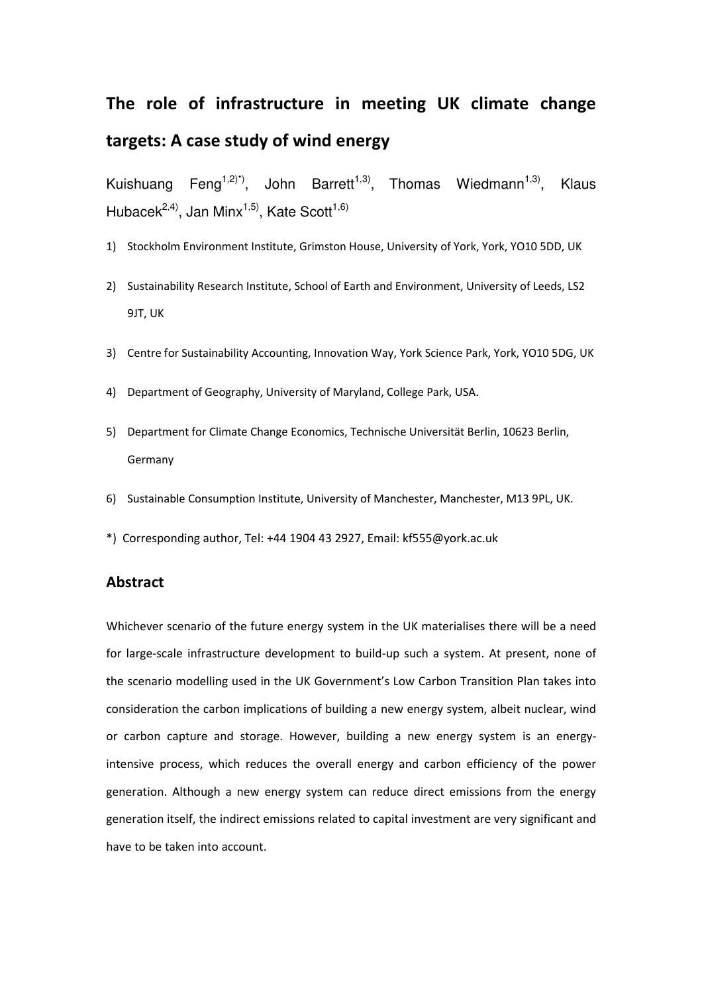# The role of infrastructure in meeting UK climate change targets: A case study of wind energy

Kuishuang Feng<sup>1,2)\*)</sup>, John Barrett<sup>1,3)</sup>, Thomas Wiedmann<sup>1,3)</sup>, Klaus Hubacek<sup>2,4)</sup>, Jan Minx<sup>1,5)</sup>, Kate Scott<sup>1,6)</sup>

- 1) Stockholm Environment Institute, Grimston House, University of York, York, YO10 5DD, UK
- 2) Sustainability Research Institute, School of Earth and Environment, University of Leeds, LS2 9JT, UK
- 3) Centre for Sustainability Accounting, Innovation Way, York Science Park, York, YO10 5DG, UK
- 4) Department of Geography, University of Maryland, College Park, USA.
- 5) Department for Climate Change Economics, Technische Universität Berlin, 10623 Berlin, Germany
- 6) Sustainable Consumption Institute, University of Manchester, Manchester, M13 9PL, UK.
- \*) Corresponding author, Tel: +44 1904 43 2927, Email: kf555@york.ac.uk

# Abstract

Whichever scenario of the future energy system in the UK materialises there will be a need for large-scale infrastructure development to build-up such a system. At present, none of the scenario modelling used in the UK Government's Low Carbon Transition Plan takes into consideration the carbon implications of building a new energy system, albeit nuclear, wind or carbon capture and storage. However, building a new energy system is an energyintensive process, which reduces the overall energy and carbon efficiency of the power generation. Although a new energy system can reduce direct emissions from the energy generation itself, the indirect emissions related to capital investment are very significant and have to be taken into account.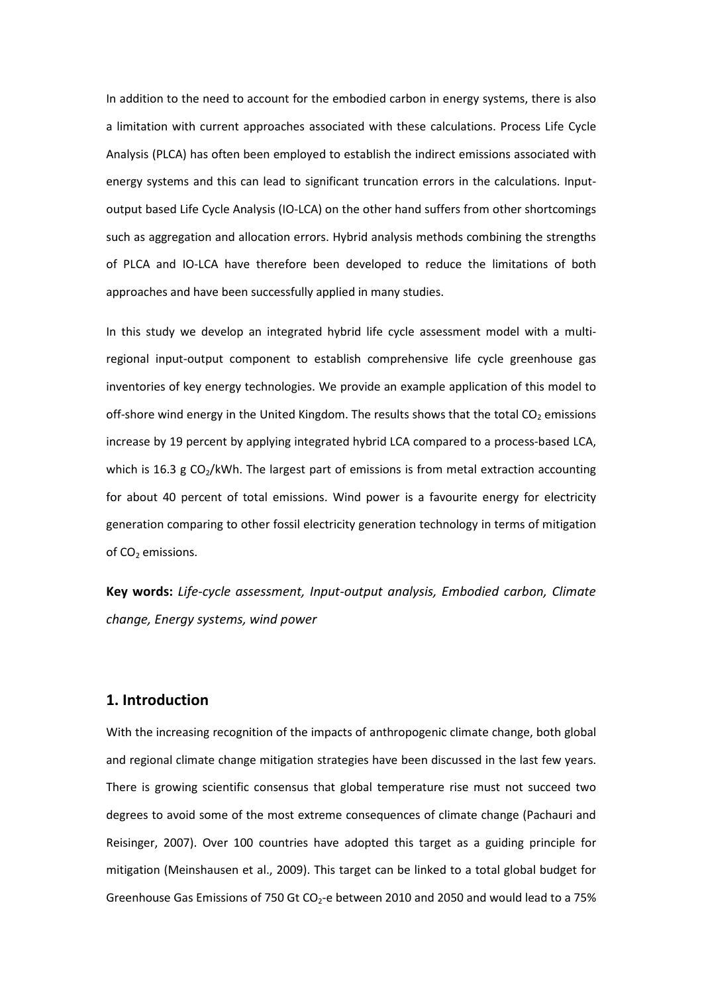In addition to the need to account for the embodied carbon in energy systems, there is also a limitation with current approaches associated with these calculations. Process Life Cycle Analysis (PLCA) has often been employed to establish the indirect emissions associated with energy systems and this can lead to significant truncation errors in the calculations. Inputoutput based Life Cycle Analysis (IO-LCA) on the other hand suffers from other shortcomings such as aggregation and allocation errors. Hybrid analysis methods combining the strengths of PLCA and IO-LCA have therefore been developed to reduce the limitations of both approaches and have been successfully applied in many studies.

In this study we develop an integrated hybrid life cycle assessment model with a multiregional input-output component to establish comprehensive life cycle greenhouse gas inventories of key energy technologies. We provide an example application of this model to off-shore wind energy in the United Kingdom. The results shows that the total  $CO<sub>2</sub>$  emissions increase by 19 percent by applying integrated hybrid LCA compared to a process-based LCA, which is 16.3 g  $CO<sub>2</sub>/kWh$ . The largest part of emissions is from metal extraction accounting for about 40 percent of total emissions. Wind power is a favourite energy for electricity generation comparing to other fossil electricity generation technology in terms of mitigation of  $CO<sub>2</sub>$  emissions.

Key words: Life-cycle assessment, Input-output analysis, Embodied carbon, Climate change, Energy systems, wind power

# 1. Introduction

With the increasing recognition of the impacts of anthropogenic climate change, both global and regional climate change mitigation strategies have been discussed in the last few years. There is growing scientific consensus that global temperature rise must not succeed two degrees to avoid some of the most extreme consequences of climate change (Pachauri and Reisinger, 2007). Over 100 countries have adopted this target as a guiding principle for mitigation (Meinshausen et al., 2009). This target can be linked to a total global budget for Greenhouse Gas Emissions of 750 Gt  $CO<sub>2</sub>$ -e between 2010 and 2050 and would lead to a 75%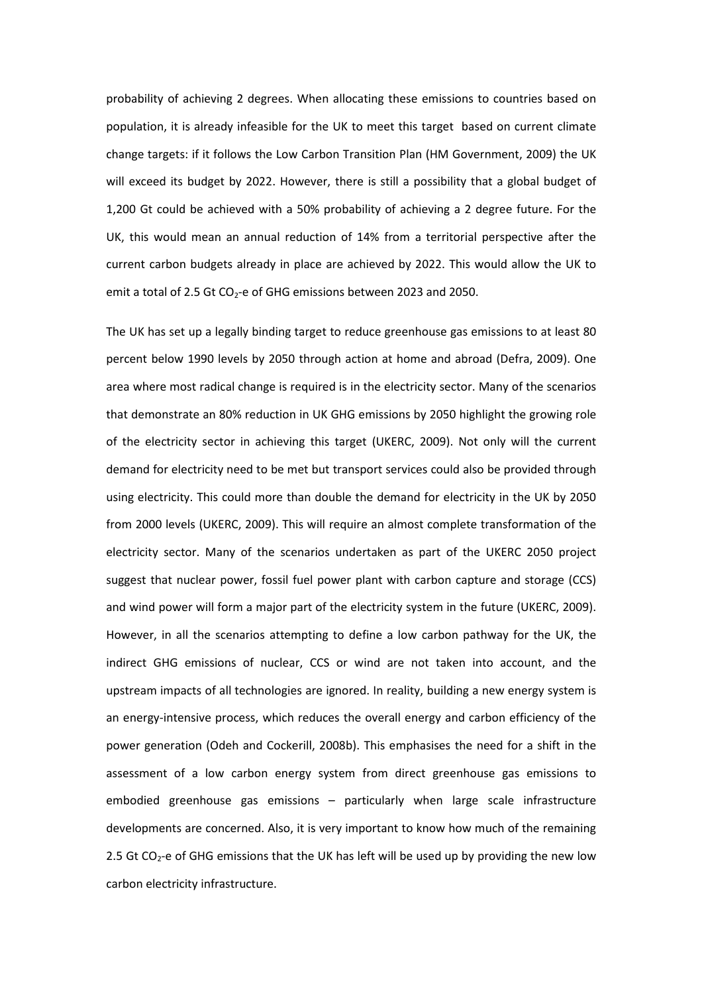probability of achieving 2 degrees. When allocating these emissions to countries based on population, it is already infeasible for the UK to meet this target based on current climate change targets: if it follows the Low Carbon Transition Plan (HM Government, 2009) the UK will exceed its budget by 2022. However, there is still a possibility that a global budget of 1,200 Gt could be achieved with a 50% probability of achieving a 2 degree future. For the UK, this would mean an annual reduction of 14% from a territorial perspective after the current carbon budgets already in place are achieved by 2022. This would allow the UK to emit a total of 2.5 Gt  $CO<sub>2</sub>$ -e of GHG emissions between 2023 and 2050.

The UK has set up a legally binding target to reduce greenhouse gas emissions to at least 80 percent below 1990 levels by 2050 through action at home and abroad (Defra, 2009). One area where most radical change is required is in the electricity sector. Many of the scenarios that demonstrate an 80% reduction in UK GHG emissions by 2050 highlight the growing role of the electricity sector in achieving this target (UKERC, 2009). Not only will the current demand for electricity need to be met but transport services could also be provided through using electricity. This could more than double the demand for electricity in the UK by 2050 from 2000 levels (UKERC, 2009). This will require an almost complete transformation of the electricity sector. Many of the scenarios undertaken as part of the UKERC 2050 project suggest that nuclear power, fossil fuel power plant with carbon capture and storage (CCS) and wind power will form a major part of the electricity system in the future (UKERC, 2009). However, in all the scenarios attempting to define a low carbon pathway for the UK, the indirect GHG emissions of nuclear, CCS or wind are not taken into account, and the upstream impacts of all technologies are ignored. In reality, building a new energy system is an energy-intensive process, which reduces the overall energy and carbon efficiency of the power generation (Odeh and Cockerill, 2008b). This emphasises the need for a shift in the assessment of a low carbon energy system from direct greenhouse gas emissions to embodied greenhouse gas emissions – particularly when large scale infrastructure developments are concerned. Also, it is very important to know how much of the remaining 2.5 Gt  $CO<sub>2</sub>$ -e of GHG emissions that the UK has left will be used up by providing the new low carbon electricity infrastructure.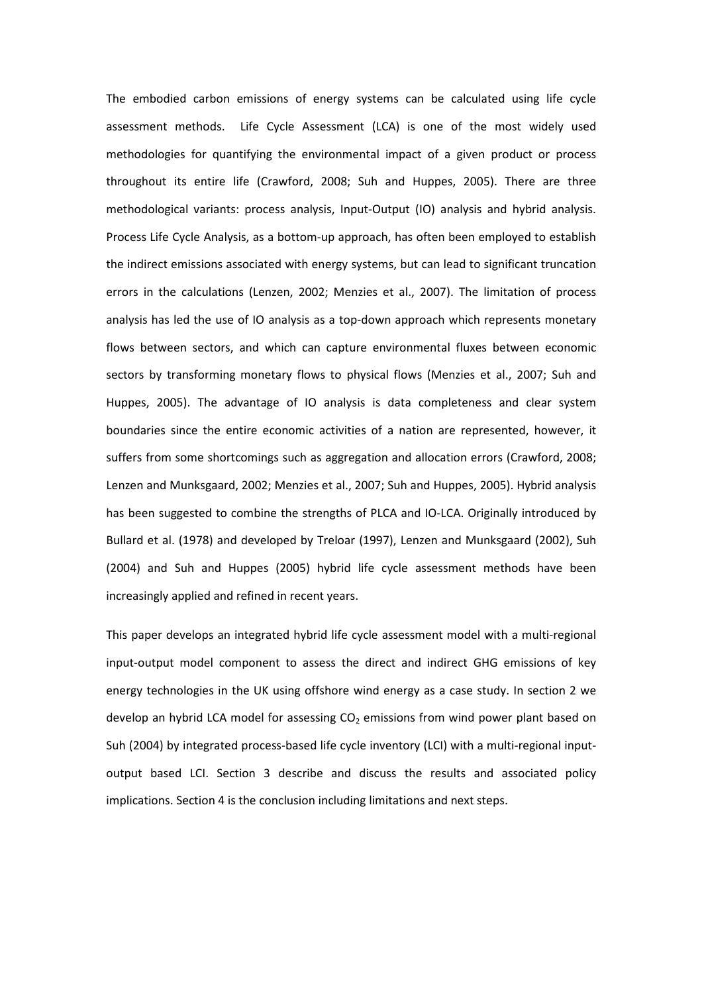The embodied carbon emissions of energy systems can be calculated using life cycle assessment methods. Life Cycle Assessment (LCA) is one of the most widely used methodologies for quantifying the environmental impact of a given product or process throughout its entire life (Crawford, 2008; Suh and Huppes, 2005). There are three methodological variants: process analysis, Input-Output (IO) analysis and hybrid analysis. Process Life Cycle Analysis, as a bottom-up approach, has often been employed to establish the indirect emissions associated with energy systems, but can lead to significant truncation errors in the calculations (Lenzen, 2002; Menzies et al., 2007). The limitation of process analysis has led the use of IO analysis as a top-down approach which represents monetary flows between sectors, and which can capture environmental fluxes between economic sectors by transforming monetary flows to physical flows (Menzies et al., 2007; Suh and Huppes, 2005). The advantage of IO analysis is data completeness and clear system boundaries since the entire economic activities of a nation are represented, however, it suffers from some shortcomings such as aggregation and allocation errors (Crawford, 2008; Lenzen and Munksgaard, 2002; Menzies et al., 2007; Suh and Huppes, 2005). Hybrid analysis has been suggested to combine the strengths of PLCA and IO-LCA. Originally introduced by Bullard et al. (1978) and developed by Treloar (1997), Lenzen and Munksgaard (2002), Suh (2004) and Suh and Huppes (2005) hybrid life cycle assessment methods have been increasingly applied and refined in recent years.

This paper develops an integrated hybrid life cycle assessment model with a multi-regional input-output model component to assess the direct and indirect GHG emissions of key energy technologies in the UK using offshore wind energy as a case study. In section 2 we develop an hybrid LCA model for assessing  $CO<sub>2</sub>$  emissions from wind power plant based on Suh (2004) by integrated process-based life cycle inventory (LCI) with a multi-regional inputoutput based LCI. Section 3 describe and discuss the results and associated policy implications. Section 4 is the conclusion including limitations and next steps.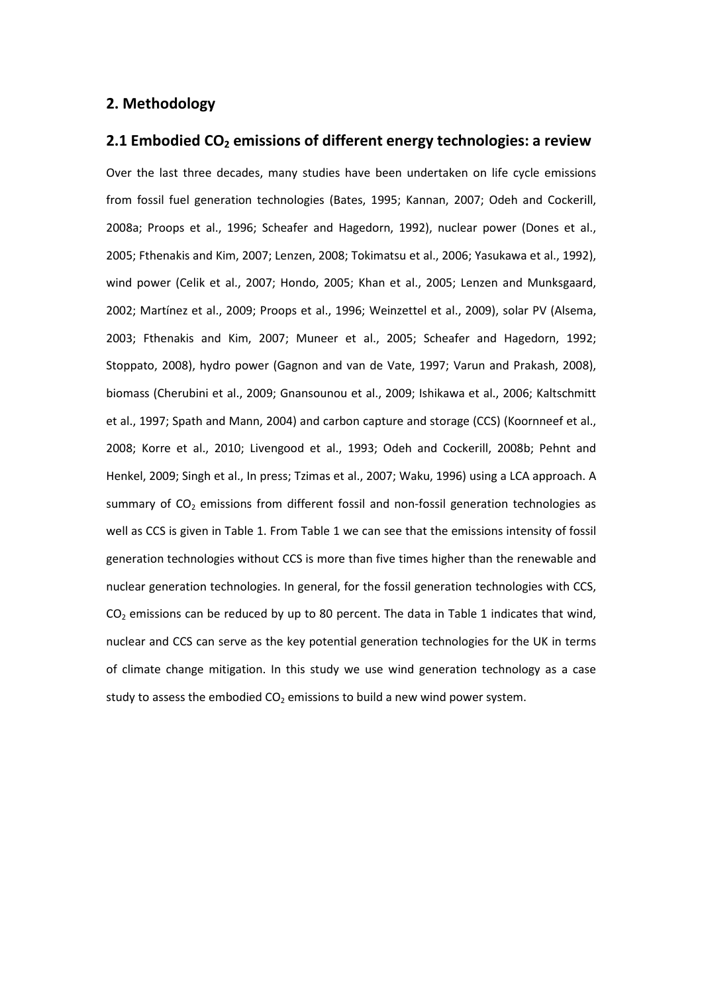# 2. Methodology

# 2.1 Embodied  $CO<sub>2</sub>$  emissions of different energy technologies: a review

Over the last three decades, many studies have been undertaken on life cycle emissions from fossil fuel generation technologies (Bates, 1995; Kannan, 2007; Odeh and Cockerill, 2008a; Proops et al., 1996; Scheafer and Hagedorn, 1992), nuclear power (Dones et al., 2005; Fthenakis and Kim, 2007; Lenzen, 2008; Tokimatsu et al., 2006; Yasukawa et al., 1992), wind power (Celik et al., 2007; Hondo, 2005; Khan et al., 2005; Lenzen and Munksgaard, 2002; Martínez et al., 2009; Proops et al., 1996; Weinzettel et al., 2009), solar PV (Alsema, 2003; Fthenakis and Kim, 2007; Muneer et al., 2005; Scheafer and Hagedorn, 1992; Stoppato, 2008), hydro power (Gagnon and van de Vate, 1997; Varun and Prakash, 2008), biomass (Cherubini et al., 2009; Gnansounou et al., 2009; Ishikawa et al., 2006; Kaltschmitt et al., 1997; Spath and Mann, 2004) and carbon capture and storage (CCS) (Koornneef et al., 2008; Korre et al., 2010; Livengood et al., 1993; Odeh and Cockerill, 2008b; Pehnt and Henkel, 2009; Singh et al., In press; Tzimas et al., 2007; Waku, 1996) using a LCA approach. A summary of  $CO<sub>2</sub>$  emissions from different fossil and non-fossil generation technologies as well as CCS is given in Table 1. From Table 1 we can see that the emissions intensity of fossil generation technologies without CCS is more than five times higher than the renewable and nuclear generation technologies. In general, for the fossil generation technologies with CCS,  $CO<sub>2</sub>$  emissions can be reduced by up to 80 percent. The data in Table 1 indicates that wind, nuclear and CCS can serve as the key potential generation technologies for the UK in terms of climate change mitigation. In this study we use wind generation technology as a case study to assess the embodied  $CO<sub>2</sub>$  emissions to build a new wind power system.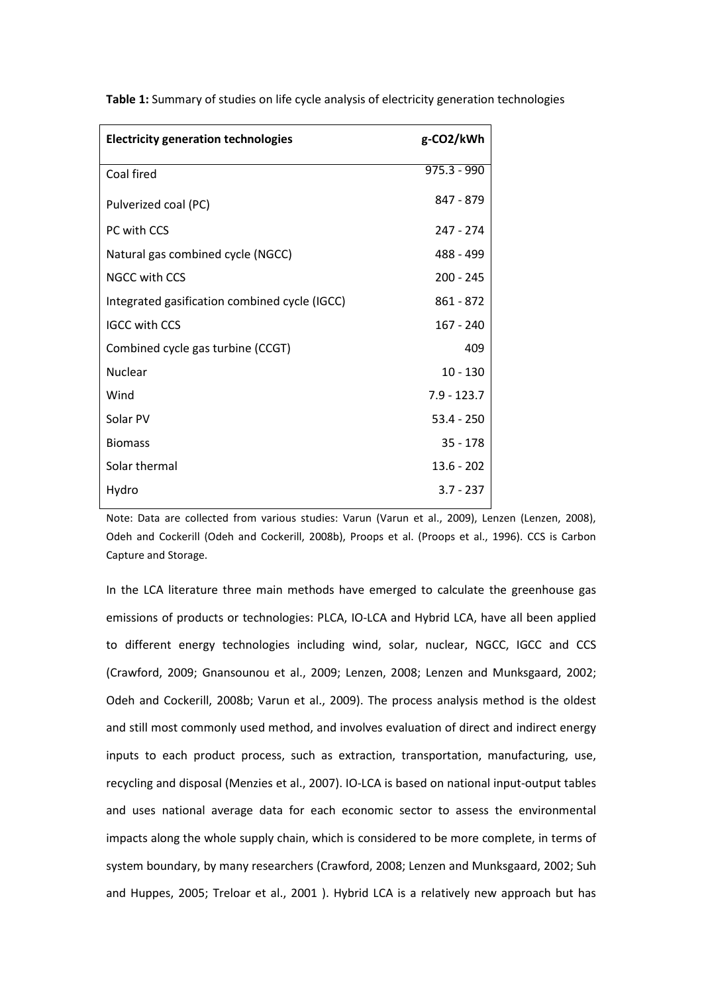| <b>Electricity generation technologies</b>    | g-CO2/kWh     |
|-----------------------------------------------|---------------|
| Coal fired                                    | $975.3 - 990$ |
| Pulverized coal (PC)                          | 847 - 879     |
| PC with CCS                                   | 247 - 274     |
| Natural gas combined cycle (NGCC)             | 488 - 499     |
| <b>NGCC with CCS</b>                          | $200 - 245$   |
| Integrated gasification combined cycle (IGCC) | $861 - 872$   |
| <b>IGCC with CCS</b>                          | $167 - 240$   |
| Combined cycle gas turbine (CCGT)             | 409           |
| Nuclear                                       | $10 - 130$    |
| Wind                                          | $7.9 - 123.7$ |
| Solar PV                                      | $53.4 - 250$  |
| <b>Biomass</b>                                | $35 - 178$    |
| Solar thermal                                 | $13.6 - 202$  |
| Hydro                                         | $3.7 - 237$   |

Table 1: Summary of studies on life cycle analysis of electricity generation technologies

Note: Data are collected from various studies: Varun (Varun et al., 2009), Lenzen (Lenzen, 2008), Odeh and Cockerill (Odeh and Cockerill, 2008b), Proops et al. (Proops et al., 1996). CCS is Carbon Capture and Storage.

In the LCA literature three main methods have emerged to calculate the greenhouse gas emissions of products or technologies: PLCA, IO-LCA and Hybrid LCA, have all been applied to different energy technologies including wind, solar, nuclear, NGCC, IGCC and CCS (Crawford, 2009; Gnansounou et al., 2009; Lenzen, 2008; Lenzen and Munksgaard, 2002; Odeh and Cockerill, 2008b; Varun et al., 2009). The process analysis method is the oldest and still most commonly used method, and involves evaluation of direct and indirect energy inputs to each product process, such as extraction, transportation, manufacturing, use, recycling and disposal (Menzies et al., 2007). IO-LCA is based on national input-output tables and uses national average data for each economic sector to assess the environmental impacts along the whole supply chain, which is considered to be more complete, in terms of system boundary, by many researchers (Crawford, 2008; Lenzen and Munksgaard, 2002; Suh and Huppes, 2005; Treloar et al., 2001 ). Hybrid LCA is a relatively new approach but has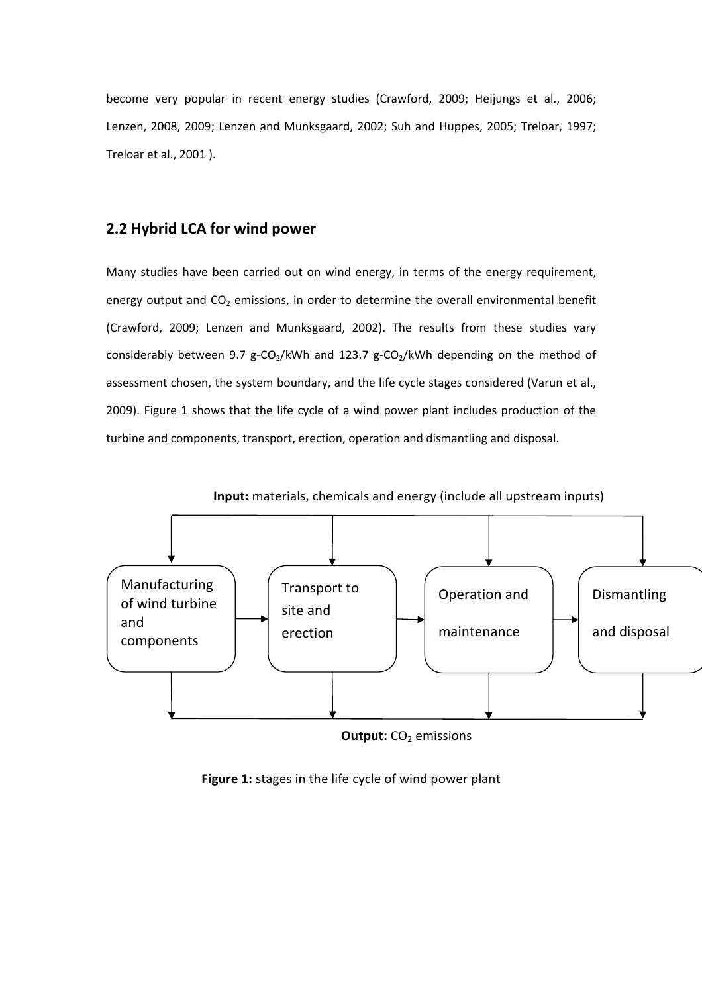become very popular in recent energy studies (Crawford, 2009; Heijungs et al., 2006; Lenzen, 2008, 2009; Lenzen and Munksgaard, 2002; Suh and Huppes, 2005; Treloar, 1997; Treloar et al., 2001 ).

# 2.2 Hybrid LCA for wind power

Many studies have been carried out on wind energy, in terms of the energy requirement, energy output and  $CO<sub>2</sub>$  emissions, in order to determine the overall environmental benefit (Crawford, 2009; Lenzen and Munksgaard, 2002). The results from these studies vary considerably between 9.7 g-CO<sub>2</sub>/kWh and 123.7 g-CO<sub>2</sub>/kWh depending on the method of assessment chosen, the system boundary, and the life cycle stages considered (Varun et al., 2009). Figure 1 shows that the life cycle of a wind power plant includes production of the turbine and components, transport, erection, operation and dismantling and disposal.



**Output:**  $CO<sub>2</sub>$  emissions

Figure 1: stages in the life cycle of wind power plant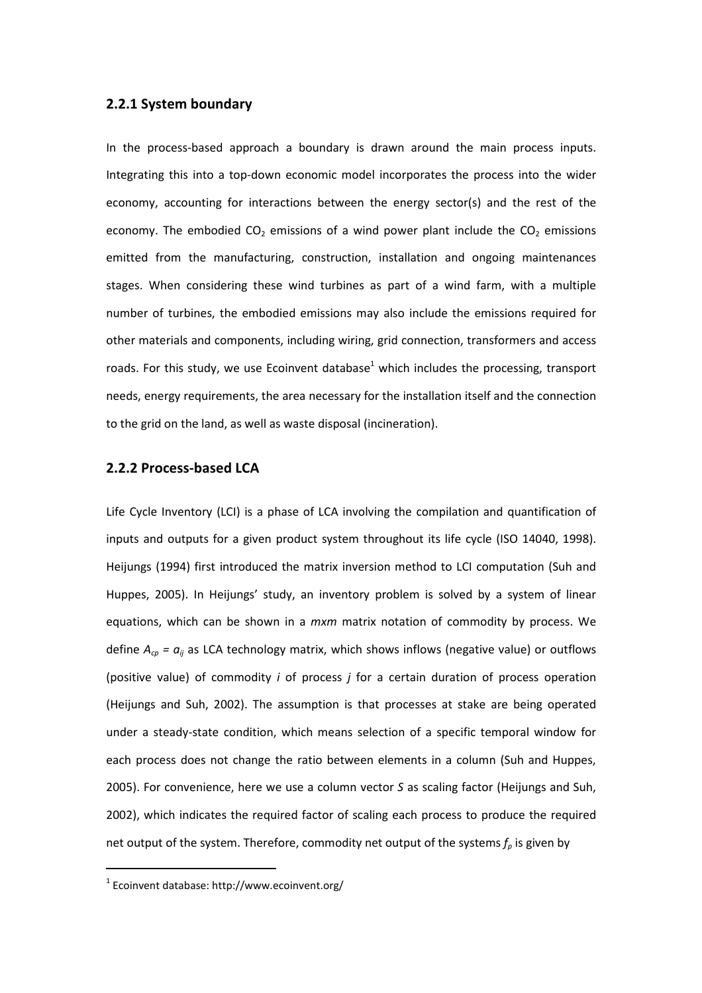#### 2.2.1 System boundary

In the process-based approach a boundary is drawn around the main process inputs. Integrating this into a top-down economic model incorporates the process into the wider economy, accounting for interactions between the energy sector(s) and the rest of the economy. The embodied  $CO<sub>2</sub>$  emissions of a wind power plant include the  $CO<sub>2</sub>$  emissions emitted from the manufacturing, construction, installation and ongoing maintenances stages. When considering these wind turbines as part of a wind farm, with a multiple number of turbines, the embodied emissions may also include the emissions required for other materials and components, including wiring, grid connection, transformers and access roads. For this study, we use Ecoinvent database<sup>1</sup> which includes the processing, transport needs, energy requirements, the area necessary for the installation itself and the connection to the grid on the land, as well as waste disposal (incineration).

#### 2.2.2 Process-based LCA

Life Cycle Inventory (LCI) is a phase of LCA involving the compilation and quantification of inputs and outputs for a given product system throughout its life cycle (ISO 14040, 1998). Heijungs (1994) first introduced the matrix inversion method to LCI computation (Suh and Huppes, 2005). In Heijungs' study, an inventory problem is solved by a system of linear equations, which can be shown in a *mxm* matrix notation of commodity by process. We define  $A_{cp} = a_{ij}$  as LCA technology matrix, which shows inflows (negative value) or outflows (positive value) of commodity  $i$  of process  $j$  for a certain duration of process operation (Heijungs and Suh, 2002). The assumption is that processes at stake are being operated under a steady-state condition, which means selection of a specific temporal window for each process does not change the ratio between elements in a column (Suh and Huppes, 2005). For convenience, here we use a column vector S as scaling factor (Heijungs and Suh, 2002), which indicates the required factor of scaling each process to produce the required net output of the system. Therefore, commodity net output of the systems  $f_p$  is given by

 $\overline{a}$ 

 $1$  Ecoinvent database: http://www.ecoinvent.org/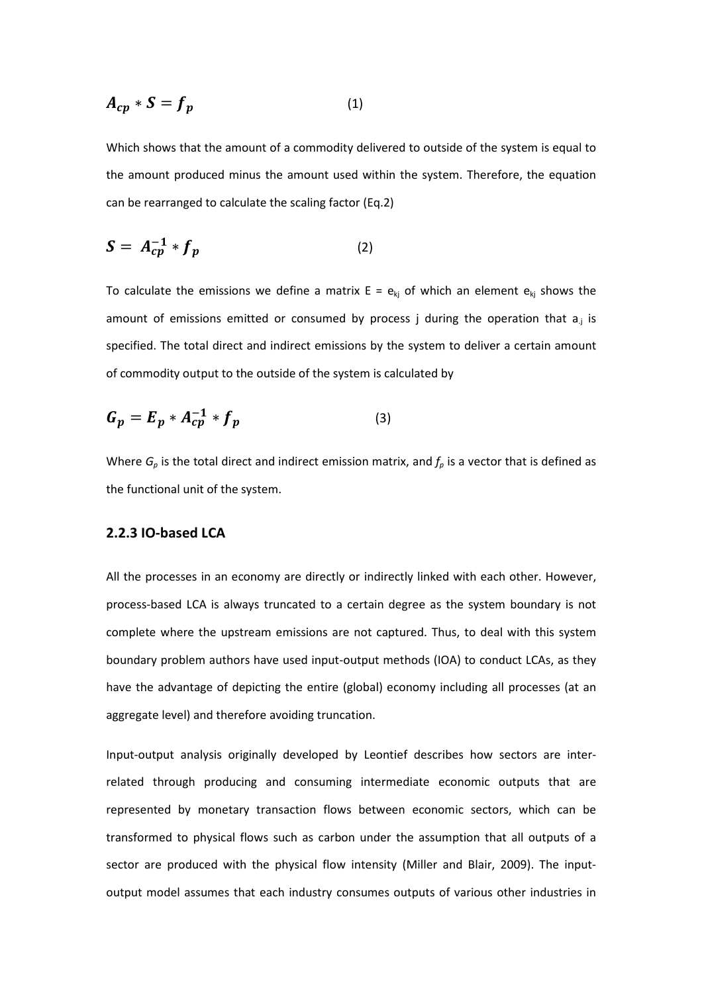$$
A_{cp} * S = f_p \tag{1}
$$

Which shows that the amount of a commodity delivered to outside of the system is equal to the amount produced minus the amount used within the system. Therefore, the equation can be rearranged to calculate the scaling factor (Eq.2)

$$
S = A_{cp}^{-1} * f_p \tag{2}
$$

To calculate the emissions we define a matrix  $E = e_{kj}$  of which an element  $e_{kj}$  shows the amount of emissions emitted or consumed by process j during the operation that  $a_{i}$  is specified. The total direct and indirect emissions by the system to deliver a certain amount of commodity output to the outside of the system is calculated by

$$
G_p = E_p * A_{cp}^{-1} * f_p \tag{3}
$$

Where  $G_p$  is the total direct and indirect emission matrix, and  $f_p$  is a vector that is defined as the functional unit of the system.

#### 2.2.3 IO-based LCA

All the processes in an economy are directly or indirectly linked with each other. However, process-based LCA is always truncated to a certain degree as the system boundary is not complete where the upstream emissions are not captured. Thus, to deal with this system boundary problem authors have used input-output methods (IOA) to conduct LCAs, as they have the advantage of depicting the entire (global) economy including all processes (at an aggregate level) and therefore avoiding truncation.

Input-output analysis originally developed by Leontief describes how sectors are interrelated through producing and consuming intermediate economic outputs that are represented by monetary transaction flows between economic sectors, which can be transformed to physical flows such as carbon under the assumption that all outputs of a sector are produced with the physical flow intensity (Miller and Blair, 2009). The inputoutput model assumes that each industry consumes outputs of various other industries in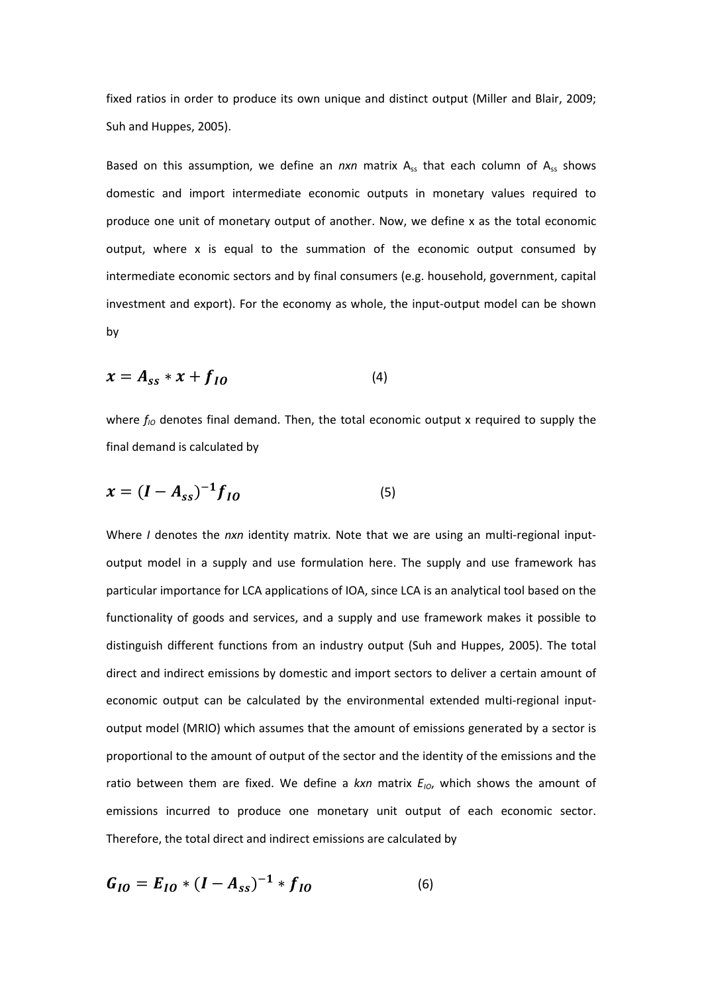fixed ratios in order to produce its own unique and distinct output (Miller and Blair, 2009; Suh and Huppes, 2005).

Based on this assumption, we define an  $nxn$  matrix  $A_{ss}$  that each column of  $A_{ss}$  shows domestic and import intermediate economic outputs in monetary values required to produce one unit of monetary output of another. Now, we define x as the total economic output, where x is equal to the summation of the economic output consumed by intermediate economic sectors and by final consumers (e.g. household, government, capital investment and export). For the economy as whole, the input-output model can be shown by

$$
x = A_{ss} * x + f_{IO} \tag{4}
$$

where  $f_{10}$  denotes final demand. Then, the total economic output x required to supply the final demand is calculated by

$$
x = (I - A_{ss})^{-1} f_{IO}
$$
 (5)

Where I denotes the nxn identity matrix. Note that we are using an multi-regional inputoutput model in a supply and use formulation here. The supply and use framework has particular importance for LCA applications of IOA, since LCA is an analytical tool based on the functionality of goods and services, and a supply and use framework makes it possible to distinguish different functions from an industry output (Suh and Huppes, 2005). The total direct and indirect emissions by domestic and import sectors to deliver a certain amount of economic output can be calculated by the environmental extended multi-regional inputoutput model (MRIO) which assumes that the amount of emissions generated by a sector is proportional to the amount of output of the sector and the identity of the emissions and the ratio between them are fixed. We define a kxn matrix  $E_{10}$ , which shows the amount of emissions incurred to produce one monetary unit output of each economic sector. Therefore, the total direct and indirect emissions are calculated by

$$
G_{IO} = E_{IO} * (I - A_{ss})^{-1} * f_{IO}
$$
 (6)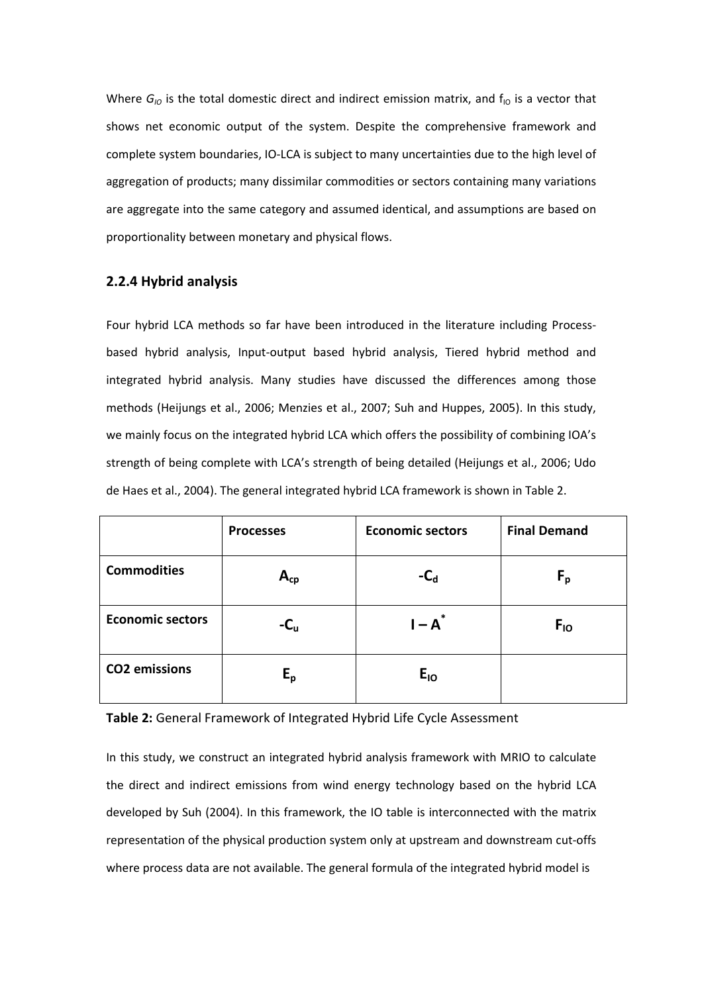Where  $G_{10}$  is the total domestic direct and indirect emission matrix, and  $f_{10}$  is a vector that shows net economic output of the system. Despite the comprehensive framework and complete system boundaries, IO-LCA is subject to many uncertainties due to the high level of aggregation of products; many dissimilar commodities or sectors containing many variations are aggregate into the same category and assumed identical, and assumptions are based on proportionality between monetary and physical flows.

# 2.2.4 Hybrid analysis

Four hybrid LCA methods so far have been introduced in the literature including Processbased hybrid analysis, Input-output based hybrid analysis, Tiered hybrid method and integrated hybrid analysis. Many studies have discussed the differences among those methods (Heijungs et al., 2006; Menzies et al., 2007; Suh and Huppes, 2005). In this study, we mainly focus on the integrated hybrid LCA which offers the possibility of combining IOA's strength of being complete with LCA's strength of being detailed (Heijungs et al., 2006; Udo de Haes et al., 2004). The general integrated hybrid LCA framework is shown in Table 2.

|                         | <b>Processes</b> | <b>Economic sectors</b> | <b>Final Demand</b> |
|-------------------------|------------------|-------------------------|---------------------|
| <b>Commodities</b>      | $A_{cp}$         | $-C_{d}$                | $F_{p}$             |
| <b>Economic sectors</b> | $-C_{\rm u}$     | $I - A^*$               | $F_{10}$            |
| <b>CO2</b> emissions    | $E_{\sf p}$      | $E_{10}$                |                     |

#### Table 2: General Framework of Integrated Hybrid Life Cycle Assessment

In this study, we construct an integrated hybrid analysis framework with MRIO to calculate the direct and indirect emissions from wind energy technology based on the hybrid LCA developed by Suh (2004). In this framework, the IO table is interconnected with the matrix representation of the physical production system only at upstream and downstream cut-offs where process data are not available. The general formula of the integrated hybrid model is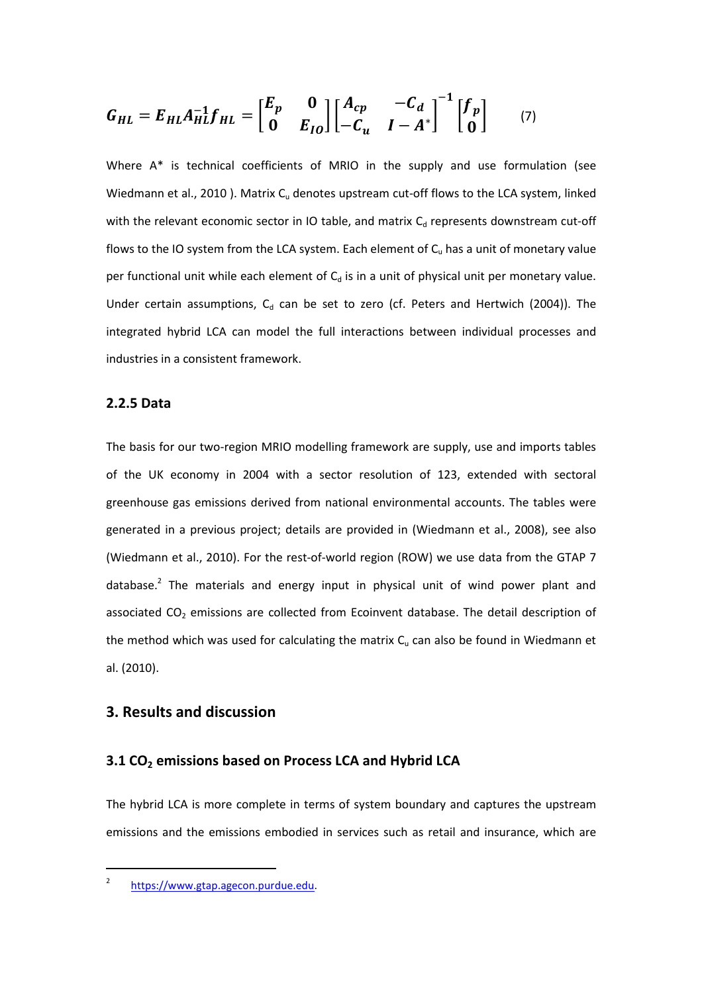$$
G_{HL} = E_{HL}A_{HL}^{-1}f_{HL} = \begin{bmatrix} E_p & 0 \\ 0 & E_{IO} \end{bmatrix} \begin{bmatrix} A_{cp} & -C_d \\ -C_u & I - A^* \end{bmatrix}^{-1} \begin{bmatrix} f_p \\ 0 \end{bmatrix} \tag{7}
$$

Where A\* is technical coefficients of MRIO in the supply and use formulation (see Wiedmann et al., 2010). Matrix  $C<sub>u</sub>$  denotes upstream cut-off flows to the LCA system, linked with the relevant economic sector in IO table, and matrix  $C_d$  represents downstream cut-off flows to the IO system from the LCA system. Each element of  $C<sub>u</sub>$  has a unit of monetary value per functional unit while each element of  $C_d$  is in a unit of physical unit per monetary value. Under certain assumptions,  $C_d$  can be set to zero (cf. Peters and Hertwich (2004)). The integrated hybrid LCA can model the full interactions between individual processes and industries in a consistent framework.

#### 2.2.5 Data

The basis for our two-region MRIO modelling framework are supply, use and imports tables of the UK economy in 2004 with a sector resolution of 123, extended with sectoral greenhouse gas emissions derived from national environmental accounts. The tables were generated in a previous project; details are provided in (Wiedmann et al., 2008), see also (Wiedmann et al., 2010). For the rest-of-world region (ROW) we use data from the GTAP 7 database.<sup>2</sup> The materials and energy input in physical unit of wind power plant and associated  $CO<sub>2</sub>$  emissions are collected from Ecoinvent database. The detail description of the method which was used for calculating the matrix  $C<sub>u</sub>$  can also be found in Wiedmann et al. (2010).

#### 3. Results and discussion

### 3.1 CO<sub>2</sub> emissions based on Process LCA and Hybrid LCA

The hybrid LCA is more complete in terms of system boundary and captures the upstream emissions and the emissions embodied in services such as retail and insurance, which are

 $\overline{a}$ 

<sup>2</sup> https://www.gtap.agecon.purdue.edu.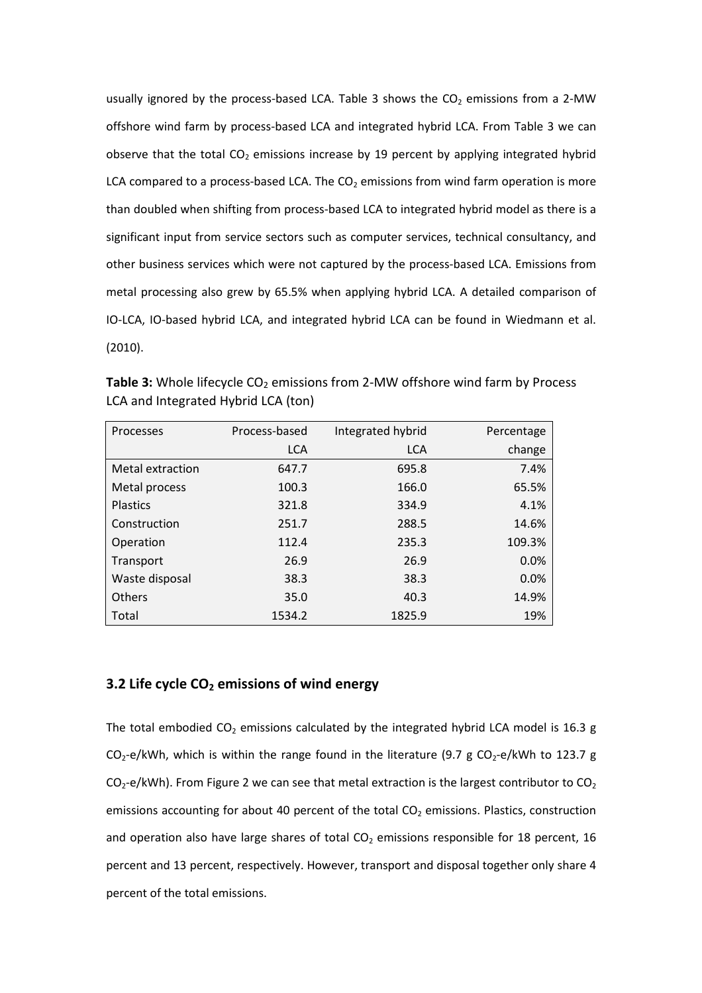usually ignored by the process-based LCA. Table 3 shows the  $CO<sub>2</sub>$  emissions from a 2-MW offshore wind farm by process-based LCA and integrated hybrid LCA. From Table 3 we can observe that the total  $CO<sub>2</sub>$  emissions increase by 19 percent by applying integrated hybrid LCA compared to a process-based LCA. The  $CO<sub>2</sub>$  emissions from wind farm operation is more than doubled when shifting from process-based LCA to integrated hybrid model as there is a significant input from service sectors such as computer services, technical consultancy, and other business services which were not captured by the process-based LCA. Emissions from metal processing also grew by 65.5% when applying hybrid LCA. A detailed comparison of IO-LCA, IO-based hybrid LCA, and integrated hybrid LCA can be found in Wiedmann et al. (2010).

Table 3: Whole lifecycle  $CO<sub>2</sub>$  emissions from 2-MW offshore wind farm by Process LCA and Integrated Hybrid LCA (ton)

| Processes        | Process-based | Integrated hybrid | Percentage |
|------------------|---------------|-------------------|------------|
|                  | <b>LCA</b>    | <b>LCA</b>        | change     |
| Metal extraction | 647.7         | 695.8             | 7.4%       |
| Metal process    | 100.3         | 166.0             | 65.5%      |
| <b>Plastics</b>  | 321.8         | 334.9             | 4.1%       |
| Construction     | 251.7         | 288.5             | 14.6%      |
| Operation        | 112.4         | 235.3             | 109.3%     |
| Transport        | 26.9          | 26.9              | 0.0%       |
| Waste disposal   | 38.3          | 38.3              | 0.0%       |
| <b>Others</b>    | 35.0          | 40.3              | 14.9%      |
| Total            | 1534.2        | 1825.9            | 19%        |

#### 3.2 Life cycle  $CO<sub>2</sub>$  emissions of wind energy

The total embodied  $CO_2$  emissions calculated by the integrated hybrid LCA model is 16.3 g  $CO_2$ -e/kWh, which is within the range found in the literature (9.7 g  $CO_2$ -e/kWh to 123.7 g  $CO<sub>2</sub>$ -e/kWh). From Figure 2 we can see that metal extraction is the largest contributor to  $CO<sub>2</sub>$ emissions accounting for about 40 percent of the total  $CO<sub>2</sub>$  emissions. Plastics, construction and operation also have large shares of total  $CO<sub>2</sub>$  emissions responsible for 18 percent, 16 percent and 13 percent, respectively. However, transport and disposal together only share 4 percent of the total emissions.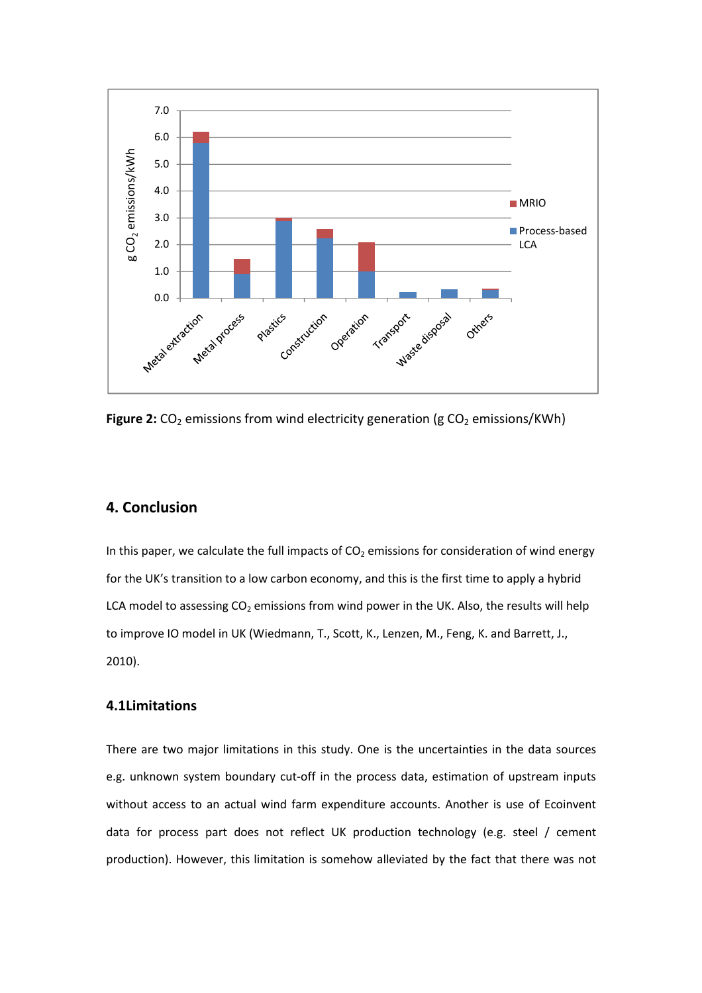

Figure 2:  $CO<sub>2</sub>$  emissions from wind electricity generation (g  $CO<sub>2</sub>$  emissions/KWh)

# 4. Conclusion

In this paper, we calculate the full impacts of  $CO<sub>2</sub>$  emissions for consideration of wind energy for the UK's transition to a low carbon economy, and this is the first time to apply a hybrid LCA model to assessing  $CO<sub>2</sub>$  emissions from wind power in the UK. Also, the results will help to improve IO model in UK (Wiedmann, T., Scott, K., Lenzen, M., Feng, K. and Barrett, J., 2010).

# 4.1Limitations

There are two major limitations in this study. One is the uncertainties in the data sources e.g. unknown system boundary cut-off in the process data, estimation of upstream inputs without access to an actual wind farm expenditure accounts. Another is use of Ecoinvent data for process part does not reflect UK production technology (e.g. steel / cement production). However, this limitation is somehow alleviated by the fact that there was not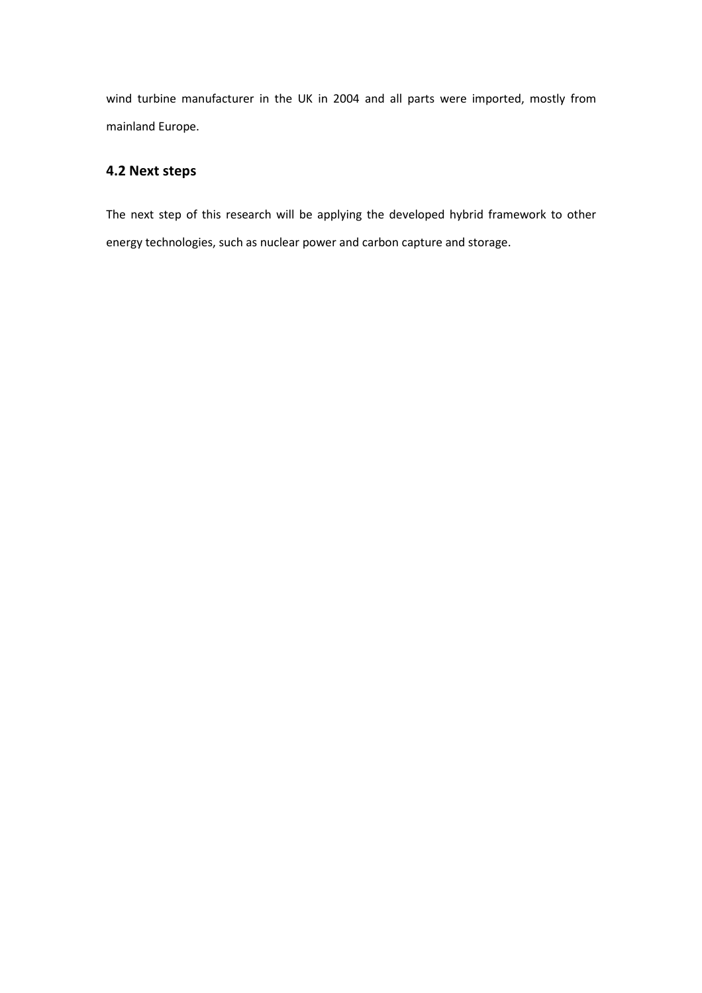wind turbine manufacturer in the UK in 2004 and all parts were imported, mostly from mainland Europe.

# 4.2 Next steps

The next step of this research will be applying the developed hybrid framework to other energy technologies, such as nuclear power and carbon capture and storage.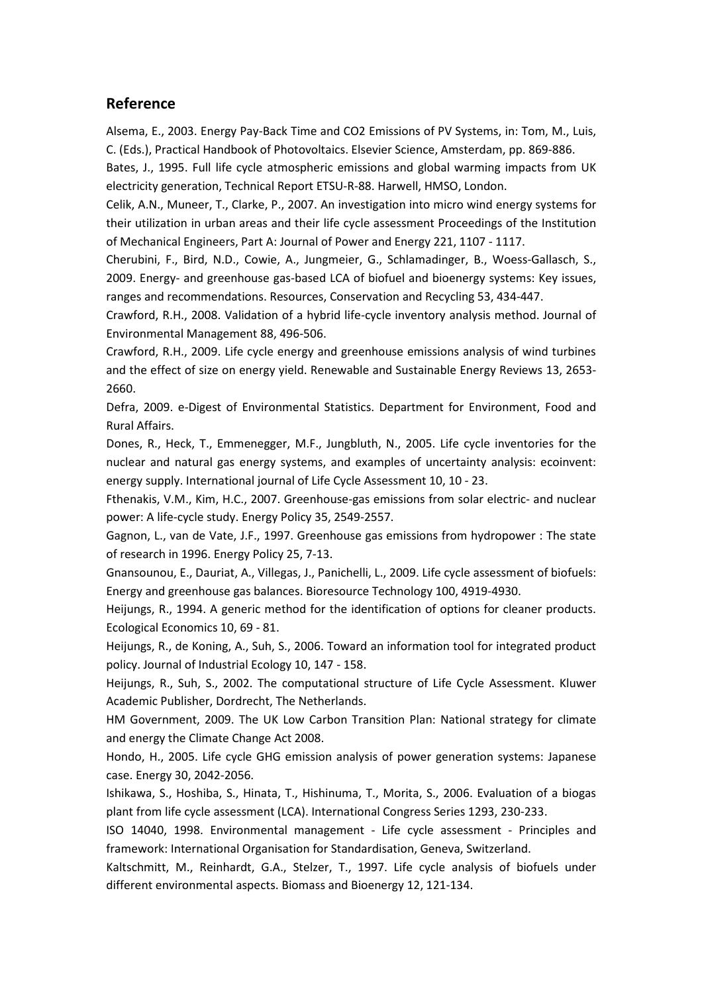# Reference

Alsema, E., 2003. Energy Pay-Back Time and CO2 Emissions of PV Systems, in: Tom, M., Luis, C. (Eds.), Practical Handbook of Photovoltaics. Elsevier Science, Amsterdam, pp. 869-886.

Bates, J., 1995. Full life cycle atmospheric emissions and global warming impacts from UK electricity generation, Technical Report ETSU-R-88. Harwell, HMSO, London.

Celik, A.N., Muneer, T., Clarke, P., 2007. An investigation into micro wind energy systems for their utilization in urban areas and their life cycle assessment Proceedings of the Institution of Mechanical Engineers, Part A: Journal of Power and Energy 221, 1107 - 1117.

Cherubini, F., Bird, N.D., Cowie, A., Jungmeier, G., Schlamadinger, B., Woess-Gallasch, S., 2009. Energy- and greenhouse gas-based LCA of biofuel and bioenergy systems: Key issues, ranges and recommendations. Resources, Conservation and Recycling 53, 434-447.

Crawford, R.H., 2008. Validation of a hybrid life-cycle inventory analysis method. Journal of Environmental Management 88, 496-506.

Crawford, R.H., 2009. Life cycle energy and greenhouse emissions analysis of wind turbines and the effect of size on energy yield. Renewable and Sustainable Energy Reviews 13, 2653- 2660.

Defra, 2009. e-Digest of Environmental Statistics. Department for Environment, Food and Rural Affairs.

Dones, R., Heck, T., Emmenegger, M.F., Jungbluth, N., 2005. Life cycle inventories for the nuclear and natural gas energy systems, and examples of uncertainty analysis: ecoinvent: energy supply. International journal of Life Cycle Assessment 10, 10 - 23.

Fthenakis, V.M., Kim, H.C., 2007. Greenhouse-gas emissions from solar electric- and nuclear power: A life-cycle study. Energy Policy 35, 2549-2557.

Gagnon, L., van de Vate, J.F., 1997. Greenhouse gas emissions from hydropower : The state of research in 1996. Energy Policy 25, 7-13.

Gnansounou, E., Dauriat, A., Villegas, J., Panichelli, L., 2009. Life cycle assessment of biofuels: Energy and greenhouse gas balances. Bioresource Technology 100, 4919-4930.

Heijungs, R., 1994. A generic method for the identification of options for cleaner products. Ecological Economics 10, 69 - 81.

Heijungs, R., de Koning, A., Suh, S., 2006. Toward an information tool for integrated product policy. Journal of Industrial Ecology 10, 147 - 158.

Heijungs, R., Suh, S., 2002. The computational structure of Life Cycle Assessment. Kluwer Academic Publisher, Dordrecht, The Netherlands.

HM Government, 2009. The UK Low Carbon Transition Plan: National strategy for climate and energy the Climate Change Act 2008.

Hondo, H., 2005. Life cycle GHG emission analysis of power generation systems: Japanese case. Energy 30, 2042-2056.

Ishikawa, S., Hoshiba, S., Hinata, T., Hishinuma, T., Morita, S., 2006. Evaluation of a biogas plant from life cycle assessment (LCA). International Congress Series 1293, 230-233.

ISO 14040, 1998. Environmental management - Life cycle assessment - Principles and framework: International Organisation for Standardisation, Geneva, Switzerland.

Kaltschmitt, M., Reinhardt, G.A., Stelzer, T., 1997. Life cycle analysis of biofuels under different environmental aspects. Biomass and Bioenergy 12, 121-134.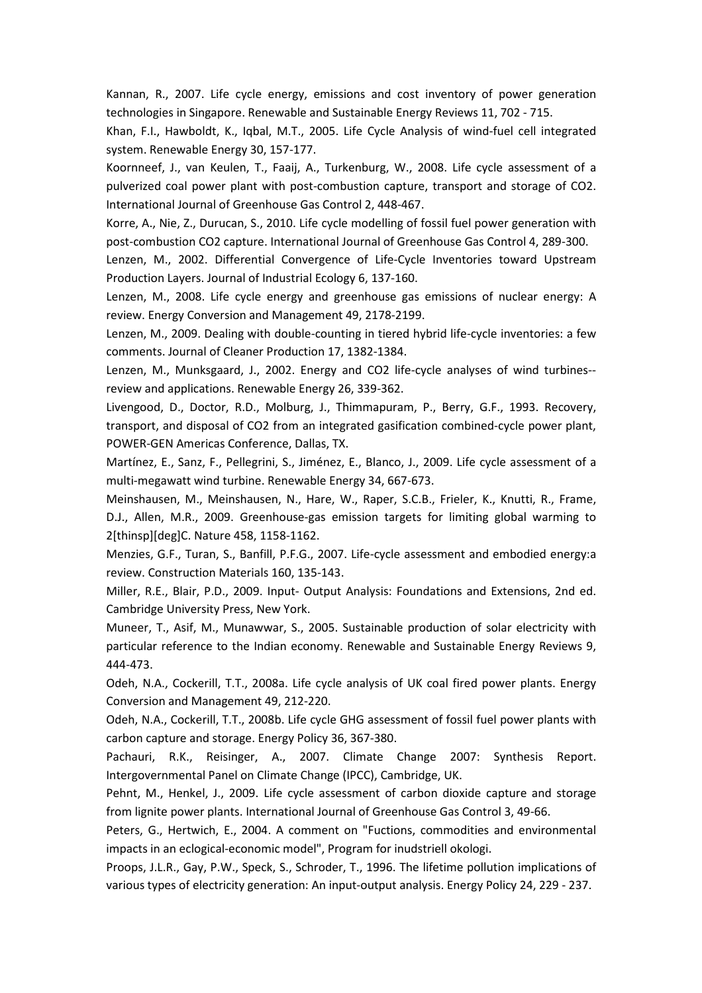Kannan, R., 2007. Life cycle energy, emissions and cost inventory of power generation technologies in Singapore. Renewable and Sustainable Energy Reviews 11, 702 - 715.

Khan, F.I., Hawboldt, K., Iqbal, M.T., 2005. Life Cycle Analysis of wind-fuel cell integrated system. Renewable Energy 30, 157-177.

Koornneef, J., van Keulen, T., Faaij, A., Turkenburg, W., 2008. Life cycle assessment of a pulverized coal power plant with post-combustion capture, transport and storage of CO2. International Journal of Greenhouse Gas Control 2, 448-467.

Korre, A., Nie, Z., Durucan, S., 2010. Life cycle modelling of fossil fuel power generation with post-combustion CO2 capture. International Journal of Greenhouse Gas Control 4, 289-300.

Lenzen, M., 2002. Differential Convergence of Life-Cycle Inventories toward Upstream Production Layers. Journal of Industrial Ecology 6, 137-160.

Lenzen, M., 2008. Life cycle energy and greenhouse gas emissions of nuclear energy: A review. Energy Conversion and Management 49, 2178-2199.

Lenzen, M., 2009. Dealing with double-counting in tiered hybrid life-cycle inventories: a few comments. Journal of Cleaner Production 17, 1382-1384.

Lenzen, M., Munksgaard, J., 2002. Energy and CO2 life-cycle analyses of wind turbines- review and applications. Renewable Energy 26, 339-362.

Livengood, D., Doctor, R.D., Molburg, J., Thimmapuram, P., Berry, G.F., 1993. Recovery, transport, and disposal of CO2 from an integrated gasification combined-cycle power plant, POWER-GEN Americas Conference, Dallas, TX.

Martínez, E., Sanz, F., Pellegrini, S., Jiménez, E., Blanco, J., 2009. Life cycle assessment of a multi-megawatt wind turbine. Renewable Energy 34, 667-673.

Meinshausen, M., Meinshausen, N., Hare, W., Raper, S.C.B., Frieler, K., Knutti, R., Frame, D.J., Allen, M.R., 2009. Greenhouse-gas emission targets for limiting global warming to 2[thinsp][deg]C. Nature 458, 1158-1162.

Menzies, G.F., Turan, S., Banfill, P.F.G., 2007. Life-cycle assessment and embodied energy:a review. Construction Materials 160, 135-143.

Miller, R.E., Blair, P.D., 2009. Input- Output Analysis: Foundations and Extensions, 2nd ed. Cambridge University Press, New York.

Muneer, T., Asif, M., Munawwar, S., 2005. Sustainable production of solar electricity with particular reference to the Indian economy. Renewable and Sustainable Energy Reviews 9, 444-473.

Odeh, N.A., Cockerill, T.T., 2008a. Life cycle analysis of UK coal fired power plants. Energy Conversion and Management 49, 212-220.

Odeh, N.A., Cockerill, T.T., 2008b. Life cycle GHG assessment of fossil fuel power plants with carbon capture and storage. Energy Policy 36, 367-380.

Pachauri, R.K., Reisinger, A., 2007. Climate Change 2007: Synthesis Report. Intergovernmental Panel on Climate Change (IPCC), Cambridge, UK.

Pehnt, M., Henkel, J., 2009. Life cycle assessment of carbon dioxide capture and storage from lignite power plants. International Journal of Greenhouse Gas Control 3, 49-66.

Peters, G., Hertwich, E., 2004. A comment on "Fuctions, commodities and environmental impacts in an eclogical-economic model", Program for inudstriell okologi.

Proops, J.L.R., Gay, P.W., Speck, S., Schroder, T., 1996. The lifetime pollution implications of various types of electricity generation: An input-output analysis. Energy Policy 24, 229 - 237.